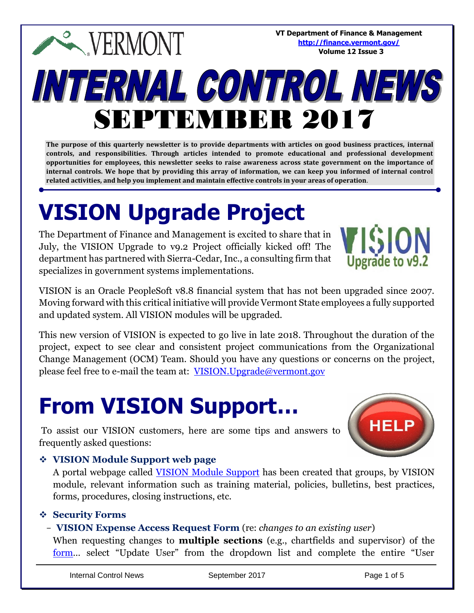**VT Department of Finance & Management <http://finance.vermont.gov/> Volume 12 Issue 3**

# INTERNAL CONTROL NEWS SEPTEMBER 2017

**The purpose of this quarterly newsletter is to provide departments with articles on good business practices, internal controls, and responsibilities. Through articles intended to promote educational and professional development opportunities for employees, this newsletter seeks to raise awareness across state government on the importance of internal controls. We hope that by providing this array of information, we can keep you informed of internal control related activities, and help you implement and maintain effective controls in your areas of operation**.

## **VISION Upgrade Project**

**EXPERMONT** 

The Department of Finance and Management is excited to share that in July, the VISION Upgrade to v9.2 Project officially kicked off! The department has partnered with Sierra-Cedar, Inc., a consulting firm that specializes in government systems implementations.

Upgrade to v9.2

VISION is an Oracle PeopleSoft v8.8 financial system that has not been upgraded since 2007. Moving forward with this critical initiative will provide Vermont State employees a fully supported and updated system. All VISION modules will be upgraded.

This new version of VISION is expected to go live in late 2018. Throughout the duration of the project, expect to see clear and consistent project communications from the Organizational Change Management (OCM) Team. Should you have any questions or concerns on the project, please feel free to e-mail the team at: [VISION.Upgrade@vermont.gov](mailto:VISION.Upgrade@vermont.gov)

### **From VISION Support…**

To assist our VISION customers, here are some tips and answers to frequently asked questions:



#### ❖ **VISION Module Support web page**

A portal webpage called [VISION Module Support](http://finance.vermont.gov/vision-module-support) has been created that groups, by VISION module, relevant information such as training material, policies, bulletins, best practices, forms, procedures, closing instructions, etc.

#### ❖ **Security Forms**

#### - **VISION Expense Access Request Form** (re: *changes to an existing user*)

When requesting changes to **multiple sections** (e.g., chartfields and supervisor) of the [form](http://finance.vermont.gov/forms/vision)… select "Update User" from the dropdown list and complete the entire "User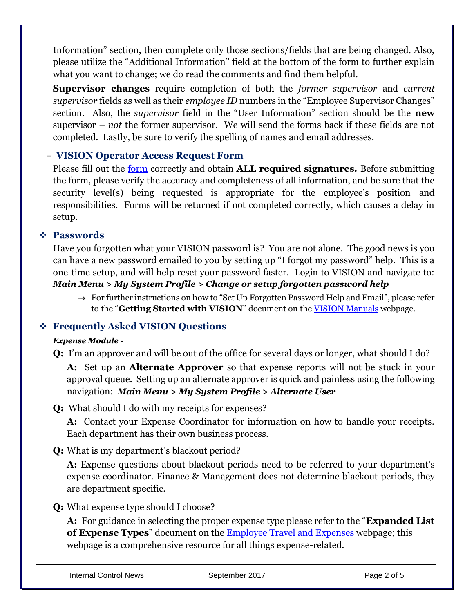Information" section, then complete only those sections/fields that are being changed. Also, please utilize the "Additional Information" field at the bottom of the form to further explain what you want to change; we do read the comments and find them helpful.

**Supervisor changes** require completion of both the *former supervisor* and *current supervisor* fields as well as their *employee ID* numbers in the "Employee Supervisor Changes" section. Also, the *supervisor* field in the "User Information" section should be the **new** supervisor – *not* the former supervisor. We will send the forms back if these fields are not completed. Lastly, be sure to verify the spelling of names and email addresses.

#### - **VISION Operator Access Request Form**

Please fill out the [form](http://finance.vermont.gov/forms/vision) correctly and obtain **ALL required signatures.** Before submitting the form, please verify the accuracy and completeness of all information, and be sure that the security level(s) being requested is appropriate for the employee's position and responsibilities. Forms will be returned if not completed correctly, which causes a delay in setup.

#### ❖ **Passwords**

Have you forgotten what your VISION password is? You are not alone. The good news is you can have a new password emailed to you by setting up "I forgot my password" help. This is a one-time setup, and will help reset your password faster. Login to VISION and navigate to: *Main Menu > My System Profile > Change or setup forgotten password help*

 $\rightarrow$  For further instructions on how to "Set Up Forgotten Password Help and Email", please refer to the "**Getting Started with VISION**" document on the [VISION Manuals](http://finance.vermont.gov/training-and-support/vision-manuals) webpage.

#### ❖ **Frequently Asked VISION Questions**

#### *Expense Module -*

**Q:** I'm an approver and will be out of the office for several days or longer, what should I do?

**A:** Set up an **Alternate Approver** so that expense reports will not be stuck in your approval queue. Setting up an alternate approver is quick and painless using the following navigation: *Main Menu > My System Profile > Alternate User*

**Q:** What should I do with my receipts for expenses?

**A:** Contact your Expense Coordinator for information on how to handle your receipts. Each department has their own business process.

**Q:** What is my department's blackout period?

**A:** Expense questions about blackout periods need to be referred to your department's expense coordinator. Finance & Management does not determine blackout periods, they are department specific.

**Q:** What expense type should I choose?

**A:** For guidance in selecting the proper expense type please refer to the "**Expanded List of Expense Types**" document on the [Employee Travel and Expenses](http://finance.vermont.gov/employee-travel-and-expenses) webpage; this webpage is a comprehensive resource for all things expense-related.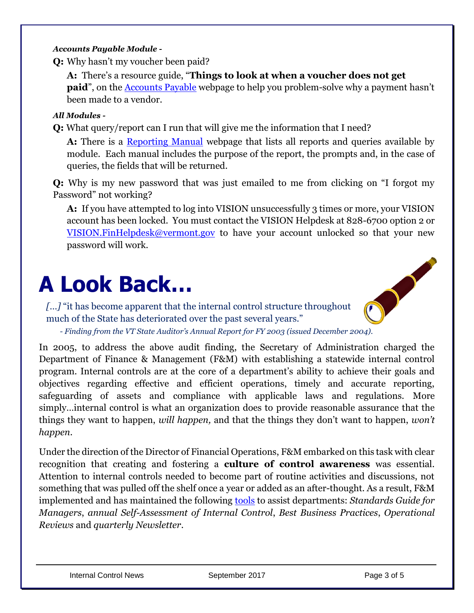#### *Accounts Payable Module -*

**Q:** Why hasn't my voucher been paid?

**A:** There's a resource guide, "**Things to look at when a voucher does not get paid**", on the [Accounts Payable](http://finance.vermont.gov/vision-module-support/accounts-payable) webpage to help you problem-solve why a payment hasn't been made to a vendor.

#### *All Modules -*

**Q:** What query/report can I run that will give me the information that I need?

**A:** There is a [Reporting Manual](http://finance.vermont.gov/training-and-support/vision-manuals/reporting-manual) webpage that lists all reports and queries available by module. Each manual includes the purpose of the report, the prompts and, in the case of queries, the fields that will be returned.

**Q:** Why is my new password that was just emailed to me from clicking on "I forgot my Password" not working?

**A:** If you have attempted to log into VISION unsuccessfully 3 times or more, your VISION account has been locked. You must contact the VISION Helpdesk at 828-6700 option 2 or [VISION.FinHelpdesk@vermont.gov](mailto:VISION.FinHelpdesk@vermont.gov) to have your account unlocked so that your new password will work.

### **A Look Back…**

*[…]* "it has become apparent that the internal control structure throughout much of the State has deteriorated over the past several years."



*- Finding from the VT State Auditor's Annual Report for FY 2003 (issued December 2004).*

In 2005, to address the above audit finding, the Secretary of Administration charged the Department of Finance & Management (F&M) with establishing a statewide internal control program. Internal controls are at the core of a department's ability to achieve their goals and objectives regarding effective and efficient operations, timely and accurate reporting, safeguarding of assets and compliance with applicable laws and regulations. More simply…internal control is what an organization does to provide reasonable assurance that the things they want to happen, *will happen,* and that the things they don't want to happen, *won't happen*.

Under the direction of the Director of Financial Operations, F&M embarked on this task with clear recognition that creating and fostering a **culture of control awareness** was essential. Attention to internal controls needed to become part of routine activities and discussions, not something that was pulled off the shelf once a year or added as an after-thought. As a result, F&M implemented and has maintained the following [tools](http://finance.vermont.gov/policies-and-procedures/internal-controls) to assist departments: *Standards Guide for Managers*, *annual Self-Assessment of Internal Control*, *Best Business Practices*, *Operational Reviews* and *quarterly Newsletter*.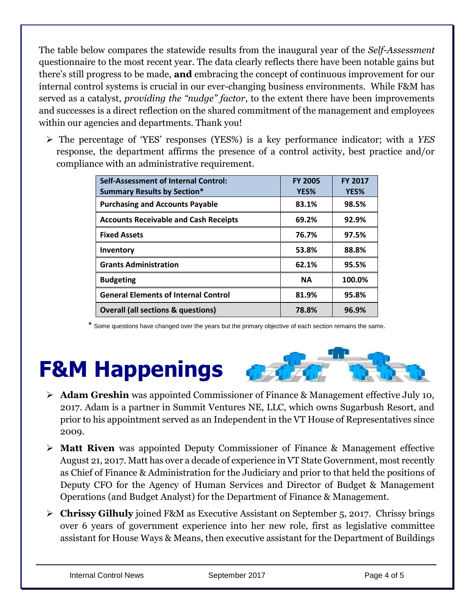The table below compares the statewide results from the inaugural year of the *Self-Assessment* questionnaire to the most recent year. The data clearly reflects there have been notable gains but there's still progress to be made, **and** embracing the concept of continuous improvement for our internal control systems is crucial in our ever-changing business environments. While F&M has served as a catalyst, *providing the "nudge" factor*, to the extent there have been improvements and successes is a direct reflection on the shared commitment of the management and employees within our agencies and departments. Thank you!

➢ The percentage of 'YES' responses (YES%) is a key performance indicator; with a *YES* response, the department affirms the presence of a control activity, best practice and/or compliance with an administrative requirement.

| Self-Assessment of Internal Control:<br><b>Summary Results by Section*</b> | <b>FY 2005</b><br>YES% | <b>FY 2017</b><br>YES% |
|----------------------------------------------------------------------------|------------------------|------------------------|
| <b>Purchasing and Accounts Payable</b>                                     | 83.1%                  | 98.5%                  |
| <b>Accounts Receivable and Cash Receipts</b>                               | 69.2%                  | 92.9%                  |
| <b>Fixed Assets</b>                                                        | 76.7%                  | 97.5%                  |
| Inventory                                                                  | 53.8%                  | 88.8%                  |
| <b>Grants Administration</b>                                               | 62.1%                  | 95.5%                  |
| <b>Budgeting</b>                                                           | <b>NA</b>              | 100.0%                 |
| <b>General Elements of Internal Control</b>                                | 81.9%                  | 95.8%                  |
| <b>Overall (all sections &amp; questions)</b>                              | 78.8%                  | 96.9%                  |

Some questions have changed over the years but the primary objective of each section remains the same.

### **F&M Happenings**



- ➢ **Adam Greshin** was appointed Commissioner of Finance & Management effective July 10, 2017. Adam is a partner in Summit Ventures NE, LLC, which owns Sugarbush Resort, and prior to his appointment served as an Independent in the VT House of Representatives since 2009.
- ➢ **Matt Riven** was appointed Deputy Commissioner of Finance & Management effective August 21, 2017. Matt has over a decade of experience in VT State Government, most recently as Chief of Finance & Administration for the Judiciary and prior to that held the positions of Deputy CFO for the Agency of Human Services and Director of Budget & Management Operations (and Budget Analyst) for the Department of Finance & Management.
- ➢ **Chrissy Gilhuly** joined F&M as Executive Assistant on September 5, 2017. Chrissy brings over 6 years of government experience into her new role, first as legislative committee assistant for House Ways & Means, then executive assistant for the Department of Buildings